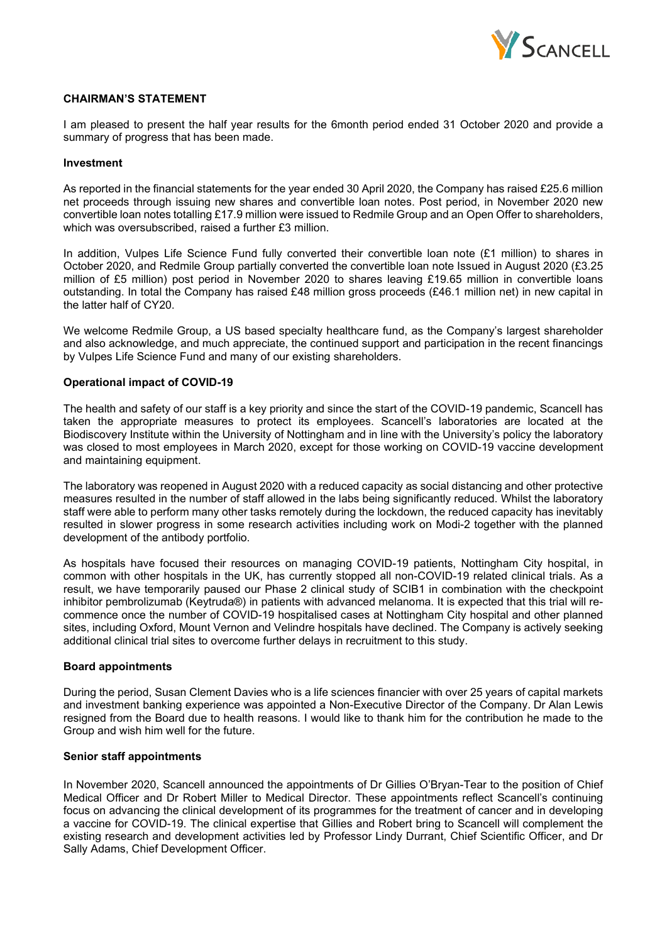

### **CHAIRMAN'S STATEMENT**

I am pleased to present the half year results for the 6month period ended 31 October 2020 and provide a summary of progress that has been made.

#### **Investment**

As reported in the financial statements for the year ended 30 April 2020, the Company has raised £25.6 million net proceeds through issuing new shares and convertible loan notes. Post period, in November 2020 new convertible loan notes totalling £17.9 million were issued to Redmile Group and an Open Offer to shareholders, which was oversubscribed, raised a further £3 million.

In addition, Vulpes Life Science Fund fully converted their convertible loan note (£1 million) to shares in October 2020, and Redmile Group partially converted the convertible loan note Issued in August 2020 (£3.25 million of £5 million) post period in November 2020 to shares leaving £19.65 million in convertible loans outstanding. In total the Company has raised £48 million gross proceeds (£46.1 million net) in new capital in the latter half of CY20.

We welcome Redmile Group, a US based specialty healthcare fund, as the Company's largest shareholder and also acknowledge, and much appreciate, the continued support and participation in the recent financings by Vulpes Life Science Fund and many of our existing shareholders.

### **Operational impact of COVID-19**

The health and safety of our staff is a key priority and since the start of the COVID-19 pandemic, Scancell has taken the appropriate measures to protect its employees. Scancell's laboratories are located at the Biodiscovery Institute within the University of Nottingham and in line with the University's policy the laboratory was closed to most employees in March 2020, except for those working on COVID-19 vaccine development and maintaining equipment.

The laboratory was reopened in August 2020 with a reduced capacity as social distancing and other protective measures resulted in the number of staff allowed in the labs being significantly reduced. Whilst the laboratory staff were able to perform many other tasks remotely during the lockdown, the reduced capacity has inevitably resulted in slower progress in some research activities including work on Modi-2 together with the planned development of the antibody portfolio.

As hospitals have focused their resources on managing COVID-19 patients, Nottingham City hospital, in common with other hospitals in the UK, has currently stopped all non-COVID-19 related clinical trials. As a result, we have temporarily paused our Phase 2 clinical study of SCIB1 in combination with the checkpoint inhibitor pembrolizumab (Keytruda®) in patients with advanced melanoma. It is expected that this trial will recommence once the number of COVID-19 hospitalised cases at Nottingham City hospital and other planned sites, including Oxford, Mount Vernon and Velindre hospitals have declined. The Company is actively seeking additional clinical trial sites to overcome further delays in recruitment to this study.

#### **Board appointments**

During the period, Susan Clement Davies who is a life sciences financier with over 25 years of capital markets and investment banking experience was appointed a Non-Executive Director of the Company. Dr Alan Lewis resigned from the Board due to health reasons. I would like to thank him for the contribution he made to the Group and wish him well for the future.

#### **Senior staff appointments**

In November 2020, Scancell announced the appointments of Dr Gillies O'Bryan-Tear to the position of Chief Medical Officer and Dr Robert Miller to Medical Director. These appointments reflect Scancell's continuing focus on advancing the clinical development of its programmes for the treatment of cancer and in developing a vaccine for COVID-19. The clinical expertise that Gillies and Robert bring to Scancell will complement the existing research and development activities led by Professor Lindy Durrant, Chief Scientific Officer, and Dr Sally Adams, Chief Development Officer.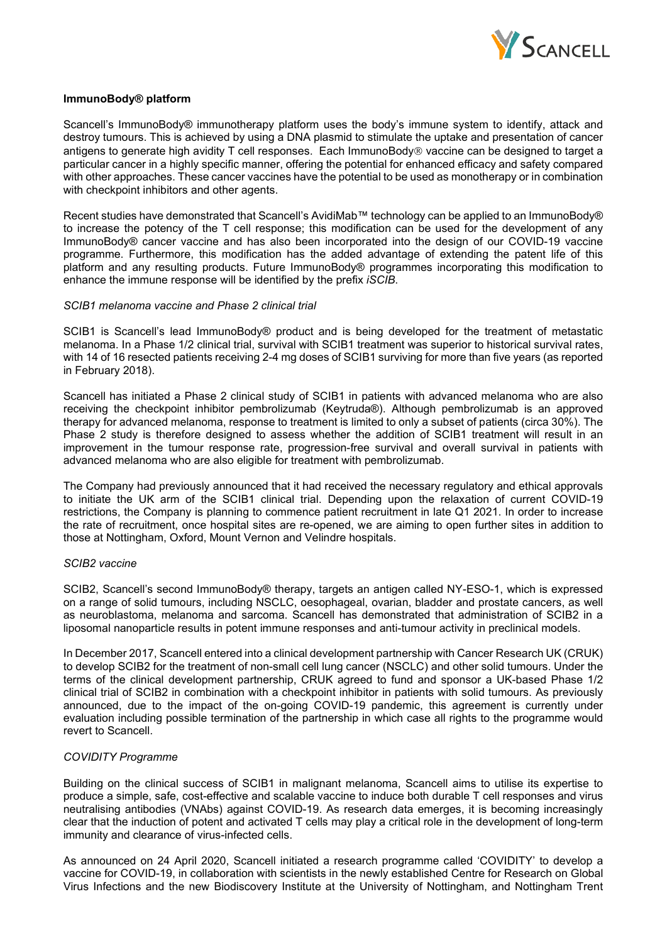

### **ImmunoBody® platform**

Scancell's ImmunoBody® immunotherapy platform uses the body's immune system to identify, attack and destroy tumours. This is achieved by using a DNA plasmid to stimulate the uptake and presentation of cancer antigens to generate high avidity T cell responses. Each ImmunoBody $\circledast$  vaccine can be designed to target a particular cancer in a highly specific manner, offering the potential for enhanced efficacy and safety compared with other approaches. These cancer vaccines have the potential to be used as monotherapy or in combination with checkpoint inhibitors and other agents.

Recent studies have demonstrated that Scancell's AvidiMab™ technology can be applied to an ImmunoBody® to increase the potency of the T cell response; this modification can be used for the development of any ImmunoBody® cancer vaccine and has also been incorporated into the design of our COVID-19 vaccine programme. Furthermore, this modification has the added advantage of extending the patent life of this platform and any resulting products. Future ImmunoBody® programmes incorporating this modification to enhance the immune response will be identified by the prefix *iSCIB*.

#### *SCIB1 melanoma vaccine and Phase 2 clinical trial*

SCIB1 is Scancell's lead ImmunoBody® product and is being developed for the treatment of metastatic melanoma. In a Phase 1/2 clinical trial, survival with SCIB1 treatment was superior to historical survival rates, with 14 of 16 resected patients receiving 2-4 mg doses of SCIB1 surviving for more than five years (as reported in February 2018).

Scancell has initiated a Phase 2 clinical study of SCIB1 in patients with advanced melanoma who are also receiving the checkpoint inhibitor pembrolizumab (Keytruda®). Although pembrolizumab is an approved therapy for advanced melanoma, response to treatment is limited to only a subset of patients (circa 30%). The Phase 2 study is therefore designed to assess whether the addition of SCIB1 treatment will result in an improvement in the tumour response rate, progression-free survival and overall survival in patients with advanced melanoma who are also eligible for treatment with pembrolizumab.

The Company had previously announced that it had received the necessary regulatory and ethical approvals to initiate the UK arm of the SCIB1 clinical trial. Depending upon the relaxation of current COVID-19 restrictions, the Company is planning to commence patient recruitment in late Q1 2021. In order to increase the rate of recruitment, once hospital sites are re-opened, we are aiming to open further sites in addition to those at Nottingham, Oxford, Mount Vernon and Velindre hospitals.

#### *SCIB2 vaccine*

SCIB2, Scancell's second ImmunoBody® therapy, targets an antigen called NY-ESO-1, which is expressed on a range of solid tumours, including NSCLC, oesophageal, ovarian, bladder and prostate cancers, as well as neuroblastoma, melanoma and sarcoma. Scancell has demonstrated that administration of SCIB2 in a liposomal nanoparticle results in potent immune responses and anti-tumour activity in preclinical models.

In December 2017, Scancell entered into a clinical development partnership with Cancer Research UK (CRUK) to develop SCIB2 for the treatment of non-small cell lung cancer (NSCLC) and other solid tumours. Under the terms of the clinical development partnership, CRUK agreed to fund and sponsor a UK-based Phase 1/2 clinical trial of SCIB2 in combination with a checkpoint inhibitor in patients with solid tumours. As previously announced, due to the impact of the on-going COVID-19 pandemic, this agreement is currently under evaluation including possible termination of the partnership in which case all rights to the programme would revert to Scancell.

### *COVIDITY Programme*

Building on the clinical success of SCIB1 in malignant melanoma, Scancell aims to utilise its expertise to produce a simple, safe, cost-effective and scalable vaccine to induce both durable T cell responses and virus neutralising antibodies (VNAbs) against COVID-19. As research data emerges, it is becoming increasingly clear that the induction of potent and activated T cells may play a critical role in the development of long-term immunity and clearance of virus-infected cells.

As announced on 24 April 2020, Scancell initiated a research programme called 'COVIDITY' to develop a vaccine for COVID-19, in collaboration with scientists in the newly established Centre for Research on Global Virus Infections and the new Biodiscovery Institute at the University of Nottingham, and Nottingham Trent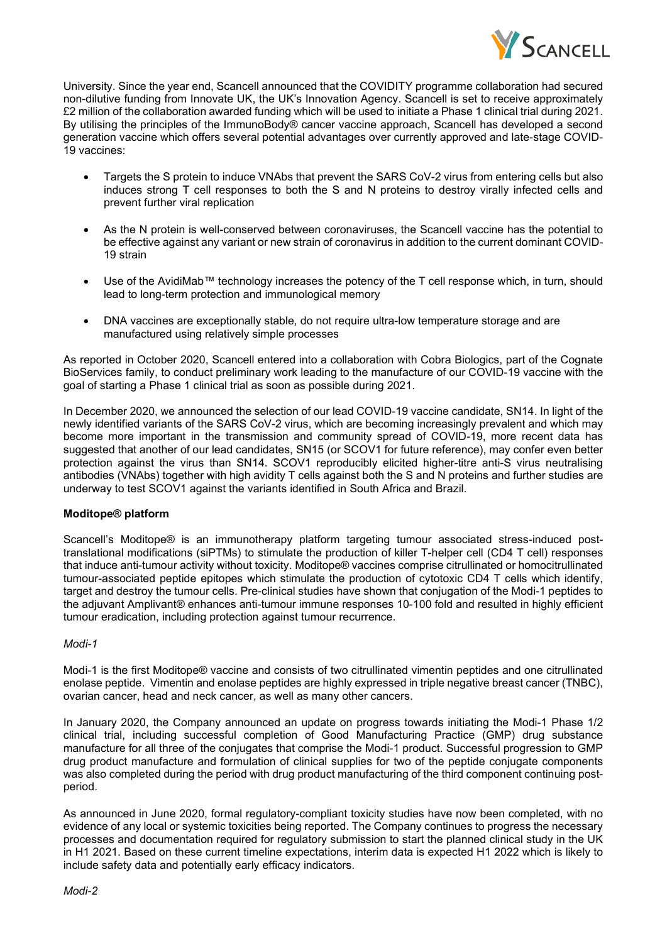

University. Since the year end, Scancell announced that the COVIDITY programme collaboration had secured non-dilutive funding from Innovate UK, the UK's Innovation Agency. Scancell is set to receive approximately £2 million of the collaboration awarded funding which will be used to initiate a Phase 1 clinical trial during 2021. By utilising the principles of the ImmunoBody® cancer vaccine approach, Scancell has developed a second generation vaccine which offers several potential advantages over currently approved and late-stage COVID-19 vaccines:

- Targets the S protein to induce VNAbs that prevent the SARS CoV-2 virus from entering cells but also induces strong T cell responses to both the S and N proteins to destroy virally infected cells and prevent further viral replication
- As the N protein is well-conserved between coronaviruses, the Scancell vaccine has the potential to be effective against any variant or new strain of coronavirus in addition to the current dominant COVID-19 strain
- Use of the AvidiMab™ technology increases the potency of the T cell response which, in turn, should lead to long-term protection and immunological memory
- DNA vaccines are exceptionally stable, do not require ultra-low temperature storage and are manufactured using relatively simple processes

As reported in October 2020, Scancell entered into a collaboration with Cobra Biologics, part of the Cognate BioServices family, to conduct preliminary work leading to the manufacture of our COVID-19 vaccine with the goal of starting a Phase 1 clinical trial as soon as possible during 2021.

In December 2020, we announced the selection of our lead COVID-19 vaccine candidate, SN14. In light of the newly identified variants of the SARS CoV-2 virus, which are becoming increasingly prevalent and which may become more important in the transmission and community spread of COVID-19, more recent data has suggested that another of our lead candidates, SN15 (or SCOV1 for future reference), may confer even better protection against the virus than SN14. SCOV1 reproducibly elicited higher-titre anti-S virus neutralising antibodies (VNAbs) together with high avidity T cells against both the S and N proteins and further studies are underway to test SCOV1 against the variants identified in South Africa and Brazil.

# **Moditope® platform**

Scancell's Moditope® is an immunotherapy platform targeting tumour associated stress-induced posttranslational modifications (siPTMs) to stimulate the production of killer T-helper cell (CD4 T cell) responses that induce anti-tumour activity without toxicity. Moditope® vaccines comprise citrullinated or homocitrullinated tumour-associated peptide epitopes which stimulate the production of cytotoxic CD4 T cells which identify, target and destroy the tumour cells. Pre-clinical studies have shown that conjugation of the Modi-1 peptides to the adjuvant Amplivant® enhances anti-tumour immune responses 10-100 fold and resulted in highly efficient tumour eradication, including protection against tumour recurrence.

### *Modi-1*

Modi-1 is the first Moditope® vaccine and consists of two citrullinated vimentin peptides and one citrullinated enolase peptide. Vimentin and enolase peptides are highly expressed in triple negative breast cancer (TNBC), ovarian cancer, head and neck cancer, as well as many other cancers.

In January 2020, the Company announced an update on progress towards initiating the Modi-1 Phase 1/2 clinical trial, including successful completion of Good Manufacturing Practice (GMP) drug substance manufacture for all three of the conjugates that comprise the Modi-1 product. Successful progression to GMP drug product manufacture and formulation of clinical supplies for two of the peptide conjugate components was also completed during the period with drug product manufacturing of the third component continuing postperiod.

As announced in June 2020, formal regulatory-compliant toxicity studies have now been completed, with no evidence of any local or systemic toxicities being reported. The Company continues to progress the necessary processes and documentation required for regulatory submission to start the planned clinical study in the UK in H1 2021. Based on these current timeline expectations, interim data is expected H1 2022 which is likely to include safety data and potentially early efficacy indicators.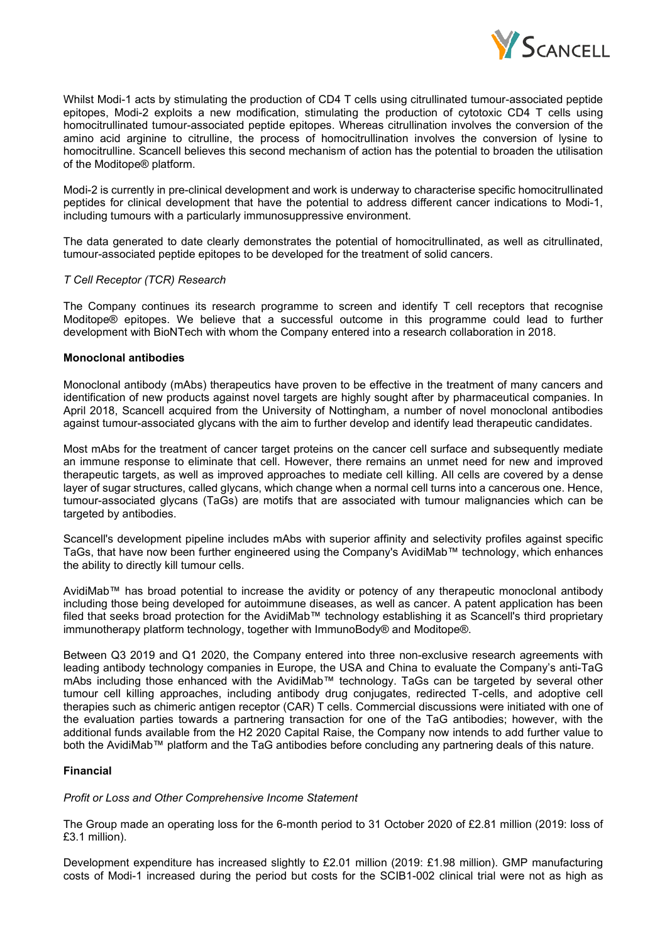

Whilst Modi-1 acts by stimulating the production of CD4 T cells using citrullinated tumour-associated peptide epitopes, Modi-2 exploits a new modification, stimulating the production of cytotoxic CD4 T cells using homocitrullinated tumour-associated peptide epitopes. Whereas citrullination involves the conversion of the amino acid arginine to citrulline, the process of homocitrullination involves the conversion of lysine to homocitrulline. Scancell believes this second mechanism of action has the potential to broaden the utilisation of the Moditope® platform.

Modi-2 is currently in pre-clinical development and work is underway to characterise specific homocitrullinated peptides for clinical development that have the potential to address different cancer indications to Modi-1, including tumours with a particularly immunosuppressive environment.

The data generated to date clearly demonstrates the potential of homocitrullinated, as well as citrullinated, tumour-associated peptide epitopes to be developed for the treatment of solid cancers.

### *T Cell Receptor (TCR) Research*

The Company continues its research programme to screen and identify T cell receptors that recognise Moditope® epitopes. We believe that a successful outcome in this programme could lead to further development with BioNTech with whom the Company entered into a research collaboration in 2018.

#### **Monoclonal antibodies**

Monoclonal antibody (mAbs) therapeutics have proven to be effective in the treatment of many cancers and identification of new products against novel targets are highly sought after by pharmaceutical companies. In April 2018, Scancell acquired from the University of Nottingham, a number of novel monoclonal antibodies against tumour-associated glycans with the aim to further develop and identify lead therapeutic candidates.

Most mAbs for the treatment of cancer target proteins on the cancer cell surface and subsequently mediate an immune response to eliminate that cell. However, there remains an unmet need for new and improved therapeutic targets, as well as improved approaches to mediate cell killing. All cells are covered by a dense layer of sugar structures, called glycans, which change when a normal cell turns into a cancerous one. Hence, tumour-associated glycans (TaGs) are motifs that are associated with tumour malignancies which can be targeted by antibodies.

Scancell's development pipeline includes mAbs with superior affinity and selectivity profiles against specific TaGs, that have now been further engineered using the Company's AvidiMab™ technology, which enhances the ability to directly kill tumour cells.

AvidiMab™ has broad potential to increase the avidity or potency of any therapeutic monoclonal antibody including those being developed for autoimmune diseases, as well as cancer. A patent application has been filed that seeks broad protection for the AvidiMab™ technology establishing it as Scancell's third proprietary immunotherapy platform technology, together with ImmunoBody® and Moditope®.

Between Q3 2019 and Q1 2020, the Company entered into three non-exclusive research agreements with leading antibody technology companies in Europe, the USA and China to evaluate the Company's anti-TaG mAbs including those enhanced with the AvidiMab™ technology. TaGs can be targeted by several other tumour cell killing approaches, including antibody drug conjugates, redirected T-cells, and adoptive cell therapies such as chimeric antigen receptor (CAR) T cells. Commercial discussions were initiated with one of the evaluation parties towards a partnering transaction for one of the TaG antibodies; however, with the additional funds available from the H2 2020 Capital Raise, the Company now intends to add further value to both the AvidiMab™ platform and the TaG antibodies before concluding any partnering deals of this nature.

### **Financial**

### *Profit or Loss and Other Comprehensive Income Statement*

The Group made an operating loss for the 6-month period to 31 October 2020 of £2.81 million (2019: loss of £3.1 million).

Development expenditure has increased slightly to £2.01 million (2019: £1.98 million). GMP manufacturing costs of Modi-1 increased during the period but costs for the SCIB1-002 clinical trial were not as high as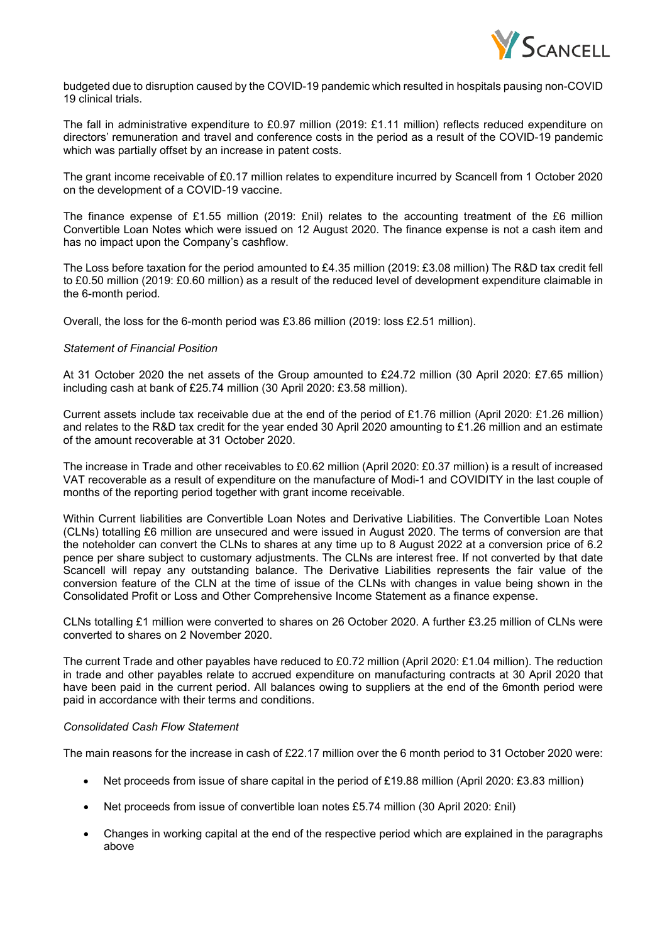

budgeted due to disruption caused by the COVID-19 pandemic which resulted in hospitals pausing non-COVID 19 clinical trials.

The fall in administrative expenditure to £0.97 million (2019: £1.11 million) reflects reduced expenditure on directors' remuneration and travel and conference costs in the period as a result of the COVID-19 pandemic which was partially offset by an increase in patent costs.

The grant income receivable of £0.17 million relates to expenditure incurred by Scancell from 1 October 2020 on the development of a COVID-19 vaccine.

The finance expense of £1.55 million (2019: £nil) relates to the accounting treatment of the £6 million Convertible Loan Notes which were issued on 12 August 2020. The finance expense is not a cash item and has no impact upon the Company's cashflow.

The Loss before taxation for the period amounted to £4.35 million (2019: £3.08 million) The R&D tax credit fell to £0.50 million (2019: £0.60 million) as a result of the reduced level of development expenditure claimable in the 6-month period.

Overall, the loss for the 6-month period was £3.86 million (2019: loss £2.51 million).

## *Statement of Financial Position*

At 31 October 2020 the net assets of the Group amounted to £24.72 million (30 April 2020: £7.65 million) including cash at bank of £25.74 million (30 April 2020: £3.58 million).

Current assets include tax receivable due at the end of the period of £1.76 million (April 2020: £1.26 million) and relates to the R&D tax credit for the year ended 30 April 2020 amounting to £1.26 million and an estimate of the amount recoverable at 31 October 2020.

The increase in Trade and other receivables to £0.62 million (April 2020: £0.37 million) is a result of increased VAT recoverable as a result of expenditure on the manufacture of Modi-1 and COVIDITY in the last couple of months of the reporting period together with grant income receivable.

Within Current liabilities are Convertible Loan Notes and Derivative Liabilities. The Convertible Loan Notes (CLNs) totalling £6 million are unsecured and were issued in August 2020. The terms of conversion are that the noteholder can convert the CLNs to shares at any time up to 8 August 2022 at a conversion price of 6.2 pence per share subject to customary adjustments. The CLNs are interest free. If not converted by that date Scancell will repay any outstanding balance. The Derivative Liabilities represents the fair value of the conversion feature of the CLN at the time of issue of the CLNs with changes in value being shown in the Consolidated Profit or Loss and Other Comprehensive Income Statement as a finance expense.

CLNs totalling £1 million were converted to shares on 26 October 2020. A further £3.25 million of CLNs were converted to shares on 2 November 2020.

The current Trade and other payables have reduced to £0.72 million (April 2020: £1.04 million). The reduction in trade and other payables relate to accrued expenditure on manufacturing contracts at 30 April 2020 that have been paid in the current period. All balances owing to suppliers at the end of the 6month period were paid in accordance with their terms and conditions.

### *Consolidated Cash Flow Statement*

The main reasons for the increase in cash of £22.17 million over the 6 month period to 31 October 2020 were:

- Net proceeds from issue of share capital in the period of £19.88 million (April 2020: £3.83 million)
- Net proceeds from issue of convertible loan notes £5.74 million (30 April 2020: £nil)
- Changes in working capital at the end of the respective period which are explained in the paragraphs above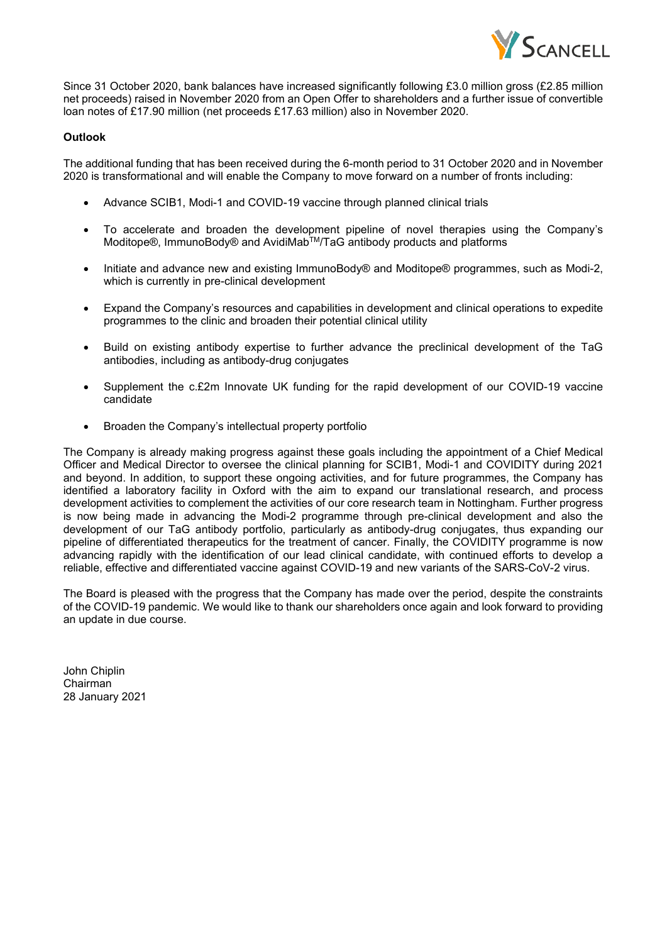

Since 31 October 2020, bank balances have increased significantly following £3.0 million gross (£2.85 million net proceeds) raised in November 2020 from an Open Offer to shareholders and a further issue of convertible loan notes of £17.90 million (net proceeds £17.63 million) also in November 2020.

## **Outlook**

The additional funding that has been received during the 6-month period to 31 October 2020 and in November 2020 is transformational and will enable the Company to move forward on a number of fronts including:

- Advance SCIB1, Modi-1 and COVID-19 vaccine through planned clinical trials
- To accelerate and broaden the development pipeline of novel therapies using the Company's Moditope®, ImmunoBody® and AvidiMabTM/TaG antibody products and platforms
- Initiate and advance new and existing ImmunoBody® and Moditope® programmes, such as Modi-2, which is currently in pre-clinical development
- Expand the Company's resources and capabilities in development and clinical operations to expedite programmes to the clinic and broaden their potential clinical utility
- Build on existing antibody expertise to further advance the preclinical development of the TaG antibodies, including as antibody-drug conjugates
- Supplement the c.£2m Innovate UK funding for the rapid development of our COVID-19 vaccine candidate
- Broaden the Company's intellectual property portfolio

The Company is already making progress against these goals including the appointment of a Chief Medical Officer and Medical Director to oversee the clinical planning for SCIB1, Modi-1 and COVIDITY during 2021 and beyond. In addition, to support these ongoing activities, and for future programmes, the Company has identified a laboratory facility in Oxford with the aim to expand our translational research, and process development activities to complement the activities of our core research team in Nottingham. Further progress is now being made in advancing the Modi-2 programme through pre-clinical development and also the development of our TaG antibody portfolio, particularly as antibody-drug conjugates, thus expanding our pipeline of differentiated therapeutics for the treatment of cancer. Finally, the COVIDITY programme is now advancing rapidly with the identification of our lead clinical candidate, with continued efforts to develop a reliable, effective and differentiated vaccine against COVID-19 and new variants of the SARS-CoV-2 virus.

The Board is pleased with the progress that the Company has made over the period, despite the constraints of the COVID-19 pandemic. We would like to thank our shareholders once again and look forward to providing an update in due course.

John Chiplin Chairman 28 January 2021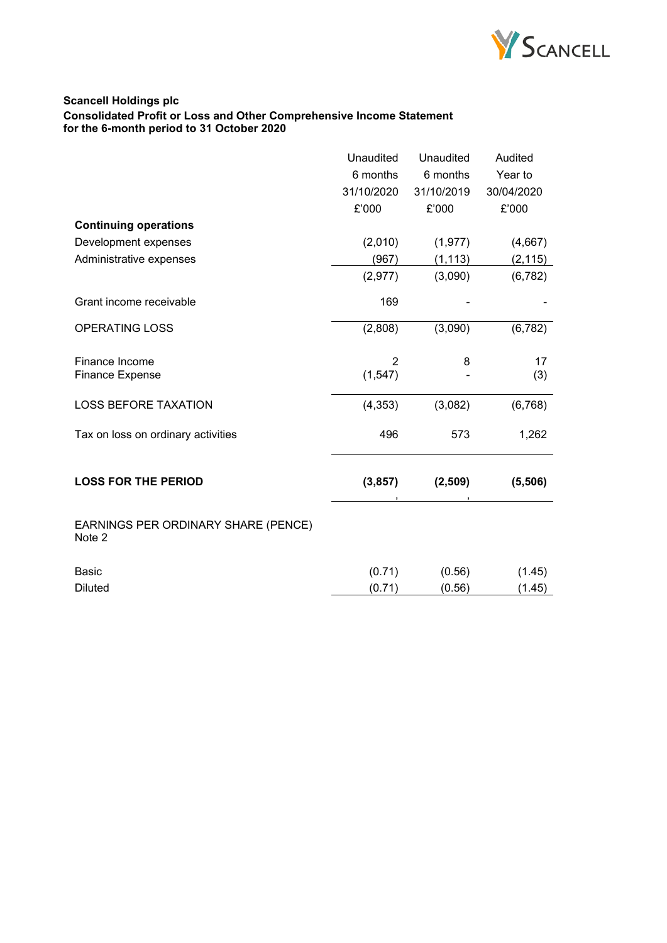

# **Scancell Holdings plc Consolidated Profit or Loss and Other Comprehensive Income Statement for the 6-month period to 31 October 2020**

|                                               | Unaudited  | Unaudited  | Audited    |
|-----------------------------------------------|------------|------------|------------|
|                                               | 6 months   | 6 months   | Year to    |
|                                               | 31/10/2020 | 31/10/2019 | 30/04/2020 |
|                                               | £'000      | £'000      | £'000      |
| <b>Continuing operations</b>                  |            |            |            |
| Development expenses                          | (2,010)    | (1, 977)   | (4,667)    |
| Administrative expenses                       | (967)      | (1, 113)   | (2, 115)   |
|                                               | (2, 977)   | (3,090)    | (6, 782)   |
| Grant income receivable                       | 169        |            |            |
| <b>OPERATING LOSS</b>                         | (2,808)    | (3,090)    | (6, 782)   |
| Finance Income                                | 2          | 8          | 17         |
| <b>Finance Expense</b>                        | (1, 547)   |            | (3)        |
| <b>LOSS BEFORE TAXATION</b>                   | (4, 353)   | (3,082)    | (6, 768)   |
| Tax on loss on ordinary activities            | 496        | 573        | 1,262      |
| <b>LOSS FOR THE PERIOD</b>                    | (3, 857)   | (2,509)    | (5,506)    |
|                                               |            |            |            |
| EARNINGS PER ORDINARY SHARE (PENCE)<br>Note 2 |            |            |            |
| <b>Basic</b>                                  | (0.71)     | (0.56)     | (1.45)     |
| <b>Diluted</b>                                | (0.71)     | (0.56)     | (1.45)     |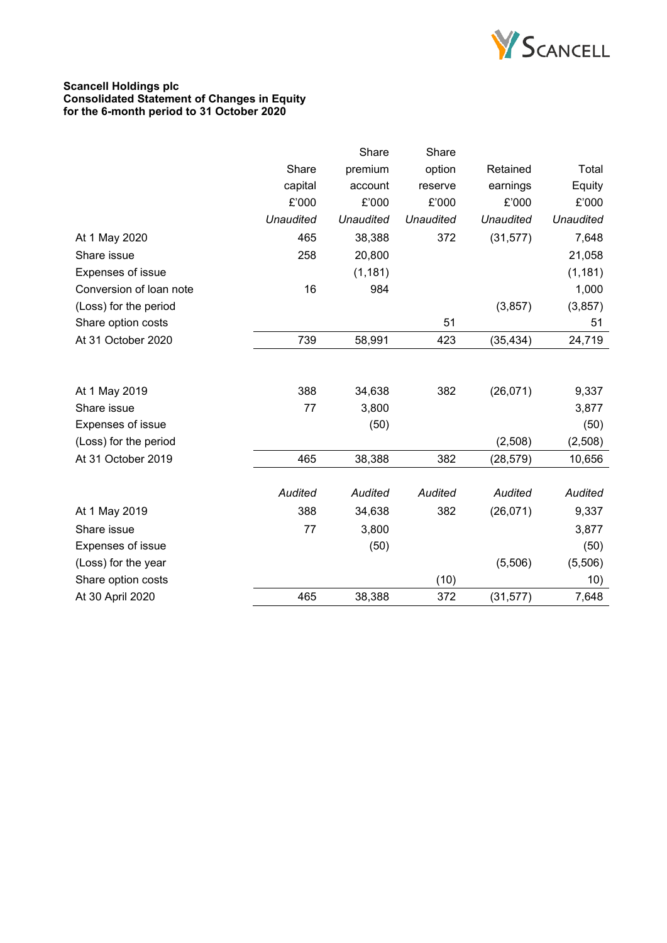

### **Scancell Holdings plc Consolidated Statement of Changes in Equity for the 6-month period to 31 October 2020**

|                          |                  | Share     | Share     |                  |                  |
|--------------------------|------------------|-----------|-----------|------------------|------------------|
|                          | Share            | premium   | option    | Retained         | Total            |
|                          | capital          | account   | reserve   | earnings         | Equity           |
|                          | £'000            | £'000     | £'000     | £'000            | £'000            |
|                          | <b>Unaudited</b> | Unaudited | Unaudited | <b>Unaudited</b> | <b>Unaudited</b> |
| At 1 May 2020            | 465              | 38,388    | 372       | (31, 577)        | 7,648            |
| Share issue              | 258              | 20,800    |           |                  | 21,058           |
| Expenses of issue        |                  | (1, 181)  |           |                  | (1, 181)         |
| Conversion of loan note  | 16               | 984       |           |                  | 1,000            |
| (Loss) for the period    |                  |           |           | (3,857)          | (3, 857)         |
| Share option costs       |                  |           | 51        |                  | 51               |
| At 31 October 2020       | 739              | 58,991    | 423       | (35, 434)        | 24,719           |
|                          |                  |           |           |                  |                  |
| At 1 May 2019            | 388              | 34,638    | 382       | (26,071)         | 9,337            |
| Share issue              | 77               | 3,800     |           |                  | 3,877            |
| Expenses of issue        |                  | (50)      |           |                  | (50)             |
| (Loss) for the period    |                  |           |           | (2,508)          | (2,508)          |
| At 31 October 2019       | 465              | 38,388    | 382       | (28, 579)        | 10,656           |
|                          |                  |           |           |                  |                  |
|                          | Audited          | Audited   | Audited   | <b>Audited</b>   | Audited          |
| At 1 May 2019            | 388              | 34,638    | 382       | (26,071)         | 9,337            |
| Share issue              | 77               | 3,800     |           |                  | 3,877            |
| <b>Expenses of issue</b> |                  | (50)      |           |                  | (50)             |
| (Loss) for the year      |                  |           |           | (5,506)          | (5,506)          |
| Share option costs       |                  |           | (10)      |                  | 10)              |
| At 30 April 2020         | 465              | 38,388    | 372       | (31, 577)        | 7,648            |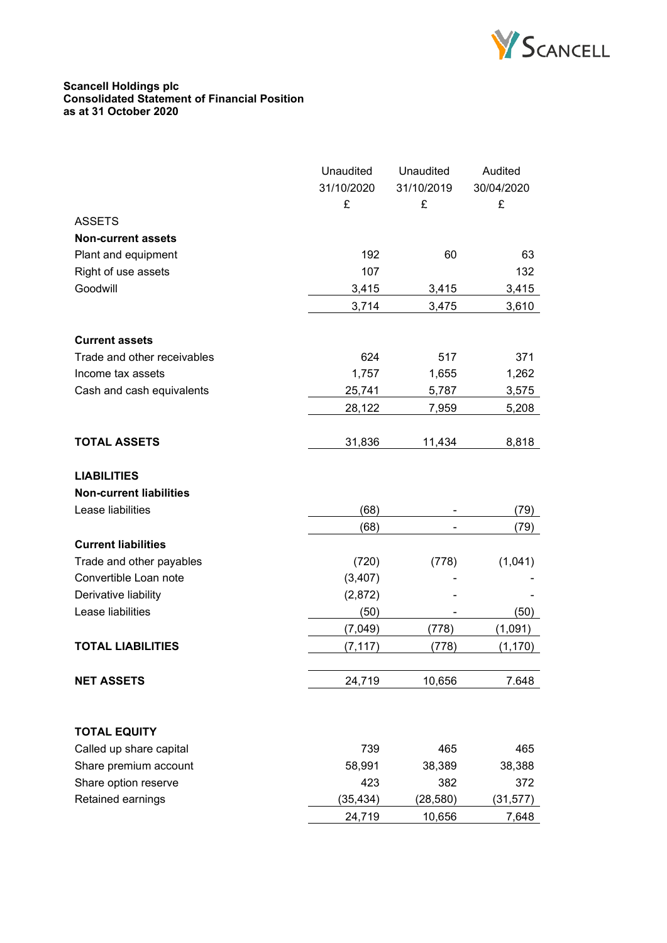

#### **Scancell Holdings plc Consolidated Statement of Financial Position as at 31 October 2020**

|                                | Unaudited  | Unaudited  | Audited    |
|--------------------------------|------------|------------|------------|
|                                | 31/10/2020 | 31/10/2019 | 30/04/2020 |
|                                | £          | £          | £          |
| <b>ASSETS</b>                  |            |            |            |
| <b>Non-current assets</b>      |            |            |            |
| Plant and equipment            | 192        | 60         | 63         |
| Right of use assets            | 107        |            | 132        |
| Goodwill                       | 3,415      | 3,415      | 3,415      |
|                                | 3,714      | 3,475      | 3,610      |
|                                |            |            |            |
| <b>Current assets</b>          |            |            |            |
| Trade and other receivables    | 624        | 517        | 371        |
| Income tax assets              | 1,757      | 1,655      | 1,262      |
| Cash and cash equivalents      | 25,741     | 5,787      | 3,575      |
|                                | 28,122     | 7,959      | 5,208      |
|                                |            |            |            |
| <b>TOTAL ASSETS</b>            | 31,836     | 11,434     | 8,818      |
|                                |            |            |            |
| <b>LIABILITIES</b>             |            |            |            |
| <b>Non-current liabilities</b> |            |            |            |
| Lease liabilities              | (68)       |            | (79)       |
|                                | (68)       |            | (79)       |
| <b>Current liabilities</b>     |            |            |            |
| Trade and other payables       | (720)      | (778)      | (1,041)    |
| Convertible Loan note          | (3, 407)   |            |            |
| Derivative liability           | (2,872)    |            |            |
| Lease liabilities              | (50)       |            | (50)       |
|                                | (7,049)    | (778)      | (1,091)    |
| <b>TOTAL LIABILITIES</b>       | (7, 117)   | (778)      | (1, 170)   |
|                                |            |            |            |
| <b>NET ASSETS</b>              | 24,719     | 10,656     | 7.648      |
|                                |            |            |            |
|                                |            |            |            |
| <b>TOTAL EQUITY</b>            |            |            |            |
| Called up share capital        | 739        | 465        | 465        |
| Share premium account          | 58,991     | 38,389     | 38,388     |
| Share option reserve           | 423        | 382        | 372        |
| Retained earnings              | (35, 434)  | (28, 580)  | (31, 577)  |
|                                | 24,719     | 10,656     | 7,648      |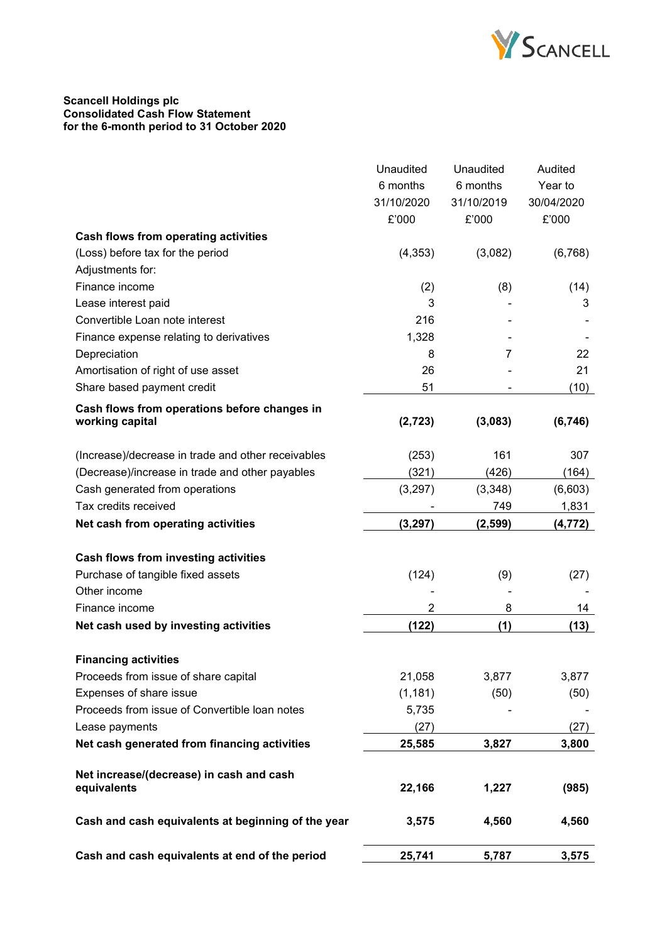

### **Scancell Holdings plc Consolidated Cash Flow Statement for the 6-month period to 31 October 2020**

|                                                         | Unaudited  | Unaudited  | Audited    |
|---------------------------------------------------------|------------|------------|------------|
|                                                         | 6 months   | 6 months   | Year to    |
|                                                         | 31/10/2020 | 31/10/2019 | 30/04/2020 |
|                                                         | £'000      | £'000      | £'000      |
| <b>Cash flows from operating activities</b>             |            |            |            |
| (Loss) before tax for the period                        | (4, 353)   | (3,082)    | (6,768)    |
| Adjustments for:                                        |            |            |            |
| Finance income                                          | (2)        | (8)        | (14)       |
| Lease interest paid                                     | 3          |            | 3          |
| Convertible Loan note interest                          | 216        |            |            |
| Finance expense relating to derivatives                 | 1,328      |            |            |
| Depreciation                                            | 8          | 7          | 22         |
| Amortisation of right of use asset                      | 26         |            | 21         |
| Share based payment credit                              | 51         |            | (10)       |
| Cash flows from operations before changes in            |            |            |            |
| working capital                                         | (2,723)    | (3,083)    | (6, 746)   |
|                                                         |            |            |            |
| (Increase)/decrease in trade and other receivables      | (253)      | 161        | 307        |
| (Decrease)/increase in trade and other payables         | (321)      | (426)      | (164)      |
| Cash generated from operations                          | (3, 297)   | (3,348)    | (6,603)    |
| Tax credits received                                    |            | 749        | 1,831      |
| Net cash from operating activities                      | (3, 297)   | (2, 599)   | (4, 772)   |
|                                                         |            |            |            |
| Cash flows from investing activities                    |            |            |            |
| Purchase of tangible fixed assets                       | (124)      | (9)        | (27)       |
| Other income                                            |            |            |            |
| Finance income                                          | 2          | 8          | 14         |
| Net cash used by investing activities                   | (122)      | (1)        | (13)       |
| <b>Financing activities</b>                             |            |            |            |
| Proceeds from issue of share capital                    | 21,058     | 3,877      | 3,877      |
| Expenses of share issue                                 | (1, 181)   | (50)       | (50)       |
| Proceeds from issue of Convertible loan notes           | 5,735      |            |            |
| Lease payments                                          | (27)       |            | (27)       |
| Net cash generated from financing activities            | 25,585     | 3,827      | 3,800      |
|                                                         |            |            |            |
| Net increase/(decrease) in cash and cash<br>equivalents | 22,166     | 1,227      | (985)      |
|                                                         |            |            |            |
| Cash and cash equivalents at beginning of the year      | 3,575      | 4,560      | 4,560      |
| Cash and cash equivalents at end of the period          | 25,741     | 5,787      | 3,575      |